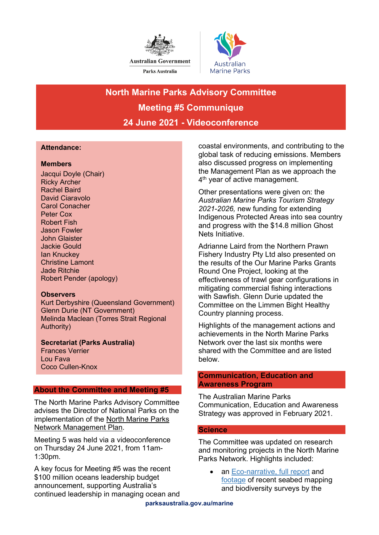



# **North Marine Parks Advisory Committee Meeting #5 Communique 24 June 2021 - Videoconference**

# **Attendance:**

## **Members**

Jacqui Doyle (Chair) Ricky Archer Rachel Baird David Ciaravolo Carol Conacher Peter Cox Robert Fish Jason Fowler John Glaister Jackie Gould Ian Knuckey Christine Lamont Jade Ritchie Robert Pender (apology)

## **Observers**

Kurt Derbyshire (Queensland Government) Glenn Durie (NT Government) Melinda Maclean (Torres Strait Regional Authority)

**Secretariat (Parks Australia)** Frances Verrier Lou Fava Coco Cullen-Knox

## **About the Committee and Meeting #5**

The North Marine Parks Advisory Committee advises the Director of National Parks on the implementation of the [North Marine Parks](https://parksaustralia.gov.au/marine/parks/north/plans/)  [Network Management Plan.](https://parksaustralia.gov.au/marine/parks/north/plans/)

Meeting 5 was held via a videoconference on Thursday 24 June 2021, from 11am-1:30pm.

A key focus for Meeting #5 was the recent \$100 million oceans leadership budget announcement, supporting Australia's continued leadership in managing ocean and coastal environments, and contributing to the global task of reducing emissions. Members also discussed progress on implementing the Management Plan as we approach the 4<sup>th</sup> year of active management.

Other presentations were given on: the *Australian Marine Parks Tourism Strategy 2021-2026,* new funding for extending Indigenous Protected Areas into sea country and progress with the \$14.8 million Ghost Nets Initiative.

Adrianne Laird from the Northern Prawn Fishery Industry Pty Ltd also presented on the results of the Our Marine Parks Grants Round One Project, looking at the effectiveness of trawl gear configurations in mitigating commercial fishing interactions with Sawfish. Glenn Durie updated the Committee on the Limmen Bight Healthy Country planning process.

Highlights of the management actions and achievements in the North Marine Parks Network over the last six months were shared with the Committee and are listed below.

## **Communication, Education and Awareness Program**

The Australian Marine Parks Communication, Education and Awareness Strategy was approved in February 2021.

## **Science**

The Committee was updated on research and monitoring projects in the North Marine Parks Network. Highlights included:

• an [Eco-narrative,](https://www.nespmarine.edu.au/document/arafura-marine-park-eco-narrative) [full report](https://www.nespmarine.edu.au/document/arafura-marine-park-post-survey-report) and [footage](https://northwestatlas.org/nwa/money-shoal) of recent seabed mapping and biodiversity surveys by the